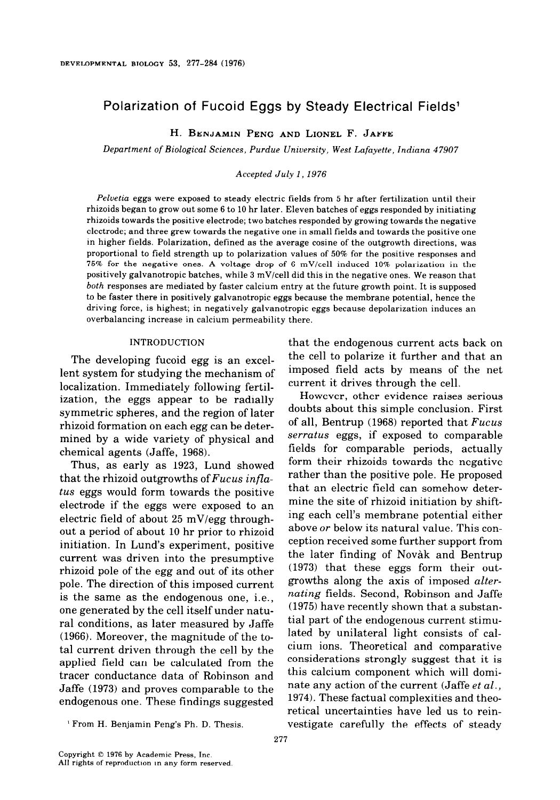# Polarization of Fucoid Eggs by Steady Electrical Fields'

**H. BENJAMIN** PENG AND LIONEL F. JAFFE

*Department of Biological Sciences, Purdue Uniuersity, West Lafayette, Indiana 47907* 

## *Accepted July 1, 1976*

*Pehetia eggs were* **exposed** to steady electric fields from 5 hr after fertilization until their rhizoids began to grow out some 6 to 10 hr later. Eleven batches of eggs responded by initiating rhizoids towards the positive electrode; two batches responded by growing towards the negative electrode; and three grew towards the negative one in small fields and towards the positive one in higher fields. Polarization, defined as the average cosine of the outgrowth directions, was proportional to field strength up to polarization values of 50% for the positive responses and 75% for the negative ones. A voltage drop of 6 mV/cell induced 10% polarization in the positively galvanotropic batches, while 3 mV/cell did this in the negative ones. We reason that *both* responses are mediated by faster calcium entry at the future growth point. It is supposed to be faster there in positively galvanotropic eggs because the membrane potential, hence the driving force, is highest; in negatively galvanotropic eggs because depolarization induces an overbalancing increase in calcium permeability there.

## INTRODUCTION

The developing fucoid egg is an excellent system for studying the mechanism of localization. Immediately following fertilization, the eggs appear to be radially symmetric spheres, and the region of later rhizoid formation on each egg can be determined by a wide variety of physical and chemical agents (Jaffe, 1968).

Thus, as early as 1923, Lund showed that the rhizoid outgrowths of *Fucus inflatus eggs* would form towards the positive electrode if the eggs were exposed to an electric field of about 25 mV/egg throughout a period of about 10 hr prior to rhizoid initiation. In Lund's experiment, positive current was driven into the presumptive rhizoid pole of the egg and out of its other pole. The direction of this imposed current is the same as the endogenous one, i.e., one generated by the cell itself under natural conditions, as later measured by Jaffe (1966). Moreover, the magnitude of the total current driven through the cell by the applied field can be calculated from the tracer conductance data of Robinson and Jaffe (1973) and proves comparable to the endogenous one. These findings suggested

that the endogenous current acts back on the cell to polarize it further and that an imposed field acts by means of the net current it drives through the cell.

However, other evidence raises serious doubts about this simple conclusion. First of all, Bentrup (1968) reported that *Fucus serratus eggs,* if exposed to comparable fields for comparable periods, actually form their rhizoids towards the negative rather than the positive pole. He proposed that an electric field can somehow determine the site of rhizoid initiation by shifting each cell's membrane potential either above *or* below its natural value. This conception received some further support from the later finding of Novak and Bentrup (1973) that these eggs form their outgrowths along the axis of imposed *alternating* fields. Second, Robinson and Jaffe (1975) have recently shown that a substantial part of the endogenous current stimulated by unilateral light consists of calcium ions. Theoretical and comparative considerations strongly suggest that it is this calcium component which will dominate any action of the current (Jaffe *et al.,*  1974). These factual complexities and theoretical uncertainties have led us to reinvestigate carefully the effects of steady

<sup>&#</sup>x27; From H. Benjamin Peng's Ph. D. Thesis.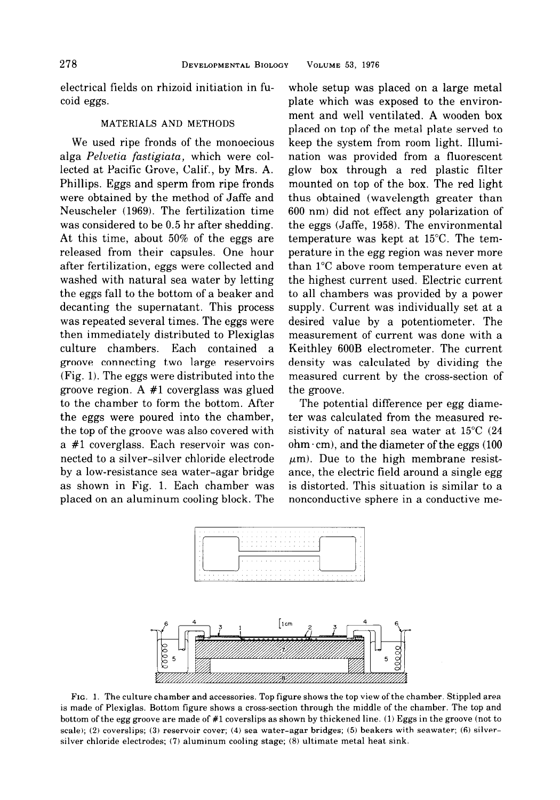electrical fields on rhizoid initiation in fucoid eggs.

## MATERIALS AND METHODS

We used ripe fronds of the monoecious alga Pelvetia fastigiata, which were collected at Pacific Grove, Calif., by Mrs. A. Phillips. Eggs and sperm from ripe fronds were obtained by the method of Jaffe and Neuscheler (1969). The fertilization time was considered to be 0.5 hr after shedding. At this time, about 50% of the eggs are released from their capsules. One hour after fertilization, eggs were collected and washed with natural sea water by letting the eggs fall to the bottom of a beaker and decanting the supernatant. This process was repeated several times. The eggs were then immediately distributed to Plexiglas culture chambers. Each contained a groove connecting two large reservoirs (Fig. 1). The eggs were distributed into the groove region. A #l coverglass was glued to the chamber to form the bottom. After the eggs were poured into the chamber, the top of the groove was also covered with a #l coverglass. Each reservoir was connected to a silver-silver chloride electrode by a low-resistance sea water-agar bridge as shown in Fig. 1. Each chamber was placed on an aluminum cooling block. The whole setup was placed on a large metal plate which was exposed to the environment and well ventilated. A wooden box placed on top of the metal plate served to keep the system from room light. Illumination was provided from a fluorescent glow box through a red plastic filter mounted on top of the box. The red light thus obtained (wavelength greater than 600 nm) did not effect any polarization of the eggs (Jaffe, 1958). The environmental temperature was kept at 15°C. The temperature in the egg region was never more than 1°C above room temperature even at the highest current used. Electric current to all chambers was provided by a power supply. Current was individually set at a desired value by a potentiometer. The measurement of current was done with a Keithley 600B electrometer. The current density was calculated by dividing the measured current by the cross-section of the groove.

The potential difference per egg diameter was calculated from the measured resistivity of natural sea water at 15°C (24 ohm $\cdot$ cm), and the diameter of the eggs (100  $\mu$ m). Due to the high membrane resistance, the electric field around a single egg is distorted. This situation is similar to a nonconductive sphere in a conductive me-



FIG. 1. The culture chamber and accessories. Top figure shows the top view ofthe chamber. Stippled area is made of Plexiglas. Bottom figure shows a cross-section through the middle of the chamber. The top and bottom of the egg groove are made of #l coverslips as shown by thickened line. (1) Eggs in the groove (not to scale); (2) coverslips; (3) reservoir cover; (4) sea water-agar bridges; (5) beakers with seawater; (6) silversilver chloride electrodes; (7) aluminum cooling stage; (8) ultimate metal heat sink.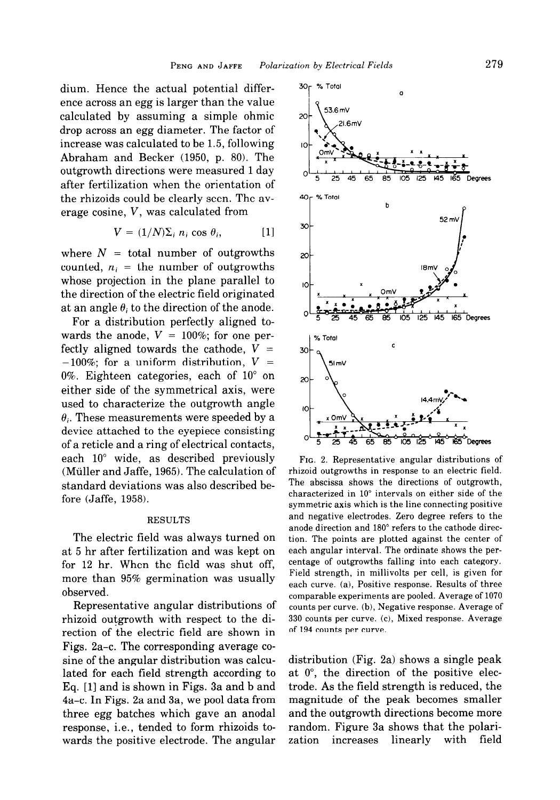dium. Hence the actual potential difference across an egg is larger than the value calculated by assuming a simple ohmic drop across an egg diameter. The factor of increase was calculated to be 1.5, following Abraham and Becker (1950, p. 80). The outgrowth directions were measured 1 day after fertilization when the orientation of the rhizoids could be clearly seen. The average cosine, V, was calculated from

$$
V = (1/N)\Sigma_i \ n_i \cos \theta_i, \qquad [1]
$$

where  $N =$  total number of outgrowths counted,  $n_i$  = the number of outgrowths whose projection in the plane parallel to the direction of the electric field originated at an angle  $\theta_i$  to the direction of the anode.

For a distribution perfectly aligned towards the anode,  $V = 100\%$ ; for one perfectly aligned towards the cathode,  $V =$  $-100\%$ ; for a uniform distribution,  $V =$ 0%. Eighteen categories, each of 10" on either side of the symmetrical axis, were used to characterize the outgrowth angle  $\theta_i$ . These measurements were speeded by a device attached to the eyepiece consisting of a reticle and a ring of electrical contacts, each 10" wide, as described previously (Muller and Jaffe, 1965). The calculation of standard deviations was also described before (Jaffe, 1958).

### RESULTS

The electric field was always turned on at 5 hr after fertilization and was kept on for 12 hr. When the field was shut off, more than 95% germination was usually observed.

Representative angular distributions of rhizoid outgrowth with respect to the direction of the electric field are shown in Figs. 2a-c. The corresponding average cosine of the angular distribution was calculated for each field strength according to Eq. [l] and is shown in Figs. 3a and b and 4a-c. In Figs. 2a and 3a, we pool data from three egg batches which gave an anodal response, i.e., tended to form rhizoids towards the positive electrode. The angular



FIG. 2. Representative angular distributions of rhizoid outgrowths in response to an electric field. The abscissa shows the directions of outgrowth, characterized in 10" intervals on either side of the symmetric axis which is the line connecting positive and negative electrodes. Zero degree refers to the anode direction and 180" refers to the cathode direction. The points are plotted against the center of each angular interval. The ordinate shows the percentage of outgrowths falling into each category. Field strength, in millivolts per cell, is given for each curve. (a), Positive response. Results of three comparable experiments are pooled. Average of 1070 counts per curve. (b), Negative response. Average of 330 counts per curve. (c), Mixed response. Average of 194 counts per curve.

distribution (Fig. 2a) shows a single peak at O", the direction of the positive electrode. As the field strength is reduced, the magnitude of the peak becomes smaller and the outgrowth directions become more random. Figure 3a shows that the polarization increases linearly with field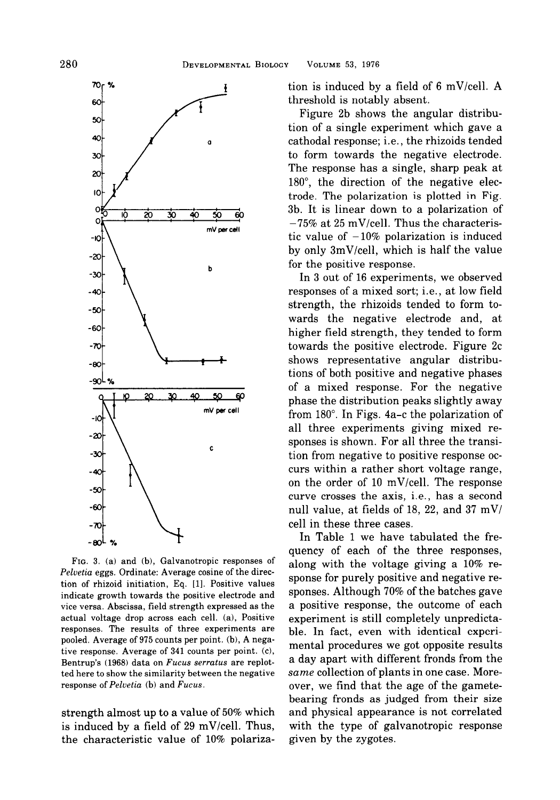

FIG. 3. (a) and (b), Galvanotropic responses of Peluetia eggs. Ordinate: Average cosine of the direction of rhizoid initiation, Eq. [1]. Positive values indicate growth towards the positive electrode and vice versa. Abscissa, field strength expressed as the actual voltage drop across each cell. (a), Positive responses. The results of three experiments are pooled. Average of 975 counts per point. (b), A negative response. Average of 341 counts per point. (c), Bentrup's (1968) data on Fucus serratus are replotted here to show the similarity between the negative response of Pelvetia (b) and Fucus.

strength almost up to a value of 50% which is induced by a field of 29 mV/cell. Thus, the characteristic value of 10% polarization is induced by a field of 6 mV/cell. A threshold is notably absent.

Figure 2b shows the angular distribution of a single experiment which gave a cathodal response; i.e., the rhizoids tended to form towards the negative electrode. The response has a single, sharp peak at 180", the direction of the negative electrode. The polarization is plotted in Fig. 3b. It is linear down to a polarization of  $-75\%$  at 25 mV/cell. Thus the characteristic value of  $-10\%$  polarization is induced by only SmV/cell, which is half the value for the positive response.

In 3 out of 16 experiments, we observed responses of a mixed sort; i.e., at low field strength, the rhizoids tended to form towards the negative electrode and, at higher field strength, they tended to form towards the positive electrode. Figure 2c shows representative angular distributions of both positive and negative phases of a mixed response. For the negative phase the distribution peaks slightly away from 180". In Figs. 4a-c the polarization of all three experiments giving mixed responses is shown. For all three the transition from negative to positive response occurs within a rather short voltage range, on the order of 10 mV/cell. The response curve crosses the axis, i.e., has a second null value, at fields of 18, 22, and 37 mV/ cell in these three cases.

In Table 1 we have tabulated the frequency of each of the three responses, along with the voltage giving a 10% response for purely positive and negative responses. Although 70% of the batches gave a positive response, the outcome of each experiment is still completely unpredictable. In fact, even with identical experimental procedures we got opposite results a day apart with different fronds from the same collection of plants in one case. Moreover, we find that the age of the gametebearing fronds as judged from their size and physical appearance is not correlated with the type of galvanotropic response given by the zygotes.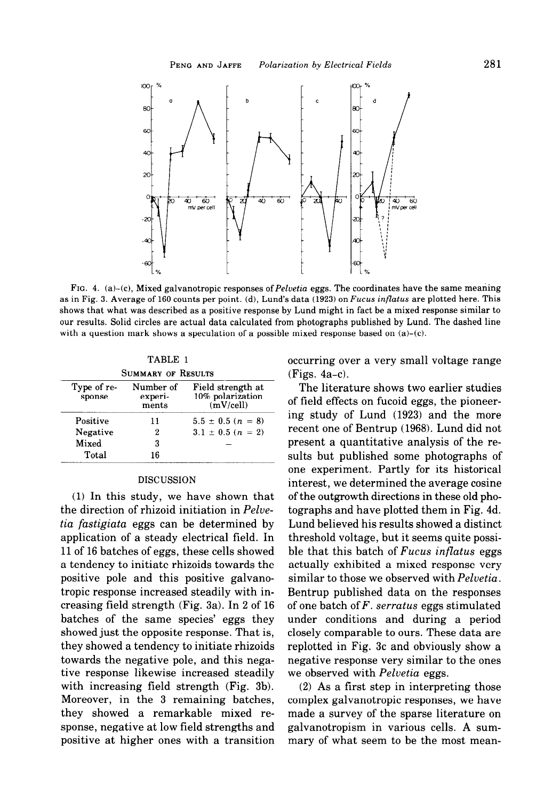

FIG. 4. (a)-(c), Mixed galvanotropic responses of Pelvetia eggs. The coordinates have the same meaning as in Fig. 3. Average of 160 counts per point. (d), Lund's data (1923) on Fucus inflatus are plotted here. This shows that what was described as a positive response by Lund might in fact be a mixed response similar to our results. Solid circles are actual data calculated from photographs published by Lund. The dashed line with a question mark shows a speculation of a possible mixed response based on  $(a)-(c)$ .

TABLE 1 SUMMARY OF RESULTS

| Type of re-<br>sponse | Number of<br>experi-<br>ments | Field strength at<br>10% polarization<br>(mV/cell) |
|-----------------------|-------------------------------|----------------------------------------------------|
| Positive              | 11                            | $5.5 \pm 0.5$ ( $n = 8$ )                          |
| Negative              | 2                             | $3.1 \pm 0.5$ ( $n = 2$ )                          |
| Mixed                 | 3                             |                                                    |
| Total                 | 16                            |                                                    |

#### DISCUSSION

(1) In this study, we have shown that the direction of rhizoid initiation in Pelvetia fastigiata eggs can be determined by application of a steady electrical field. In 11 of 16 batches of eggs, these cells showed a tendency to initiate rhizoids towards the positive pole and this positive galvanotropic response increased steadily with increasing field strength (Fig. 3a). In 2 of 16 batches of the same species' eggs they showed just the opposite response. That is, they showed a tendency to initiate rhizoids towards the negative pole, and this negative response likewise increased steadily with increasing field strength (Fig. 3b). Moreover, in the 3 remaining batches, they showed a remarkable mixed response, negative at low field strengths and positive at higher ones with a transition occurring over a very small voltage range (Figs. 4a-c).

The literature shows two earlier studies of field effects on fucoid eggs, the pioneering study of Lund (1923) and the more recent one of Bentrup (1968). Lund did not present a quantitative analysis of the results but published some photographs of one experiment. Partly for its historical interest, we determined the average cosine of the outgrowth directions in these old photographs and have plotted them in Fig. 4d. Lund believed his results showed a distinct threshold voltage, but it seems quite possible that this batch of  $Fucus$  inflatus eggs actually exhibited a mixed response very similar to those we observed with Pelvetia. Bentrup published data on the responses of one batch of  $F$ . serratus eggs stimulated under conditions and during a period closely comparable to ours. These data are replotted in Fig. 3c and obviously show a negative response very similar to the ones we observed with *Pelvetia* eggs.

(2) As a first step in interpreting those complex galvanotropic responses, we have made a survey of the sparse literature on galvanotropism in various cells. A summary of what seem to be the most mean-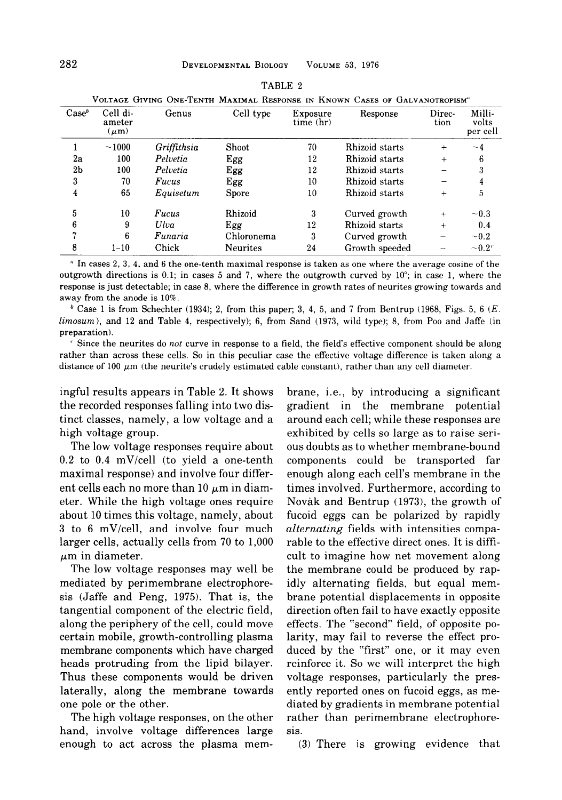|                   |                                 |             |                 |                       | VOLTAGE CIVING ONE-TENTH MAXIMAL RESPONSE IN INNOWN CASES OF CALVANOTROPISM" |                |                             |
|-------------------|---------------------------------|-------------|-----------------|-----------------------|------------------------------------------------------------------------------|----------------|-----------------------------|
| Case <sup>b</sup> | Cell di-<br>ameter<br>$(\mu m)$ | Genus       | Cell type       | Exposure<br>time (hr) | Response                                                                     | Direc-<br>tion | Milli-<br>volts<br>per cell |
|                   | ~1000                           | Griffithsia | Shoot           | 70                    | Rhizoid starts                                                               | $\div$         | $-4$                        |
| 2a                | 100                             | Pelvetia    | Egg             | 12                    | Rhizoid starts                                                               | $\ddot{}$      | 6                           |
| 2 <sub>b</sub>    | 100                             | Pelvetia    | Egg             | 12                    | Rhizoid starts                                                               |                |                             |
| 3                 | 70                              | Fucus       | Egg             | 10                    | Rhizoid starts                                                               |                |                             |
| 4                 | 65                              | Equisetum   | <b>Spore</b>    | 10                    | Rhizoid starts                                                               | $\ddot{}$      | 5                           |
| 5                 | 10                              | Fucus       | Rhizoid         | 3                     | Curved growth                                                                | $^{+}$         | $\sim 0.3$                  |
| 6                 | 9                               | Ulva        | Egg             | 12                    | Rhizoid starts                                                               | $+$            | 0.4                         |
| 7                 | 6                               | Funaria     | Chloronema      | 3                     | Curved growth                                                                |                | $\sim 0.2$                  |
| 8                 | $1 - 10$                        | Chick       | <b>Neurites</b> | 24                    | Growth speeded                                                               |                | $\sim 0.2^{\circ}$          |

| TABLE 2                                                       |
|---------------------------------------------------------------|
| c Giving One-Tenth Maximal Response in Known Cases of Galvani |

' In cases 2, 3, 4, and 6 the one-tenth maximal response is taken as one where the average cosine of the outgrowth directions is 0.1; in cases 5 and 7, where the outgrowth curved by  $10^{\circ}$ ; in case 1, where the response is just detectable; in case 8, where the difference in growth rates of neurites growing towards and away from the anode is 10%.

<sup>b</sup> Case 1 is from Schechter (1934); 2, from this paper; 3, 4, 5, and 7 from Bentrup (1968, Figs. 5, 6  $(E.$ limosum), and 12 and Table 4, respectively); 6, from Sand (1973, wild type); 8, from Poo and Jaffe (in preparation).

 $\epsilon$  Since the neurites do not curve in response to a field, the field's effective component should be along rather than across these cells. So in this peculiar case the effective voltage difference is taken along a distance of 100  $\mu$ m (the neurite's crudely estimated cable constant), rather than any cell diameter.

ingful results appears in Table 2. It shows the recorded responses falling into two distinct classes, namely, a low voltage and a high voltage group.

The low voltage responses require about 0.2 to 0.4 mV/cell (to yield a one-tenth maximal response) and involve four different cells each no more than  $10 \mu m$  in diameter. While the high voltage ones require about 10 times this voltage, namely, about 3 to 6 mV/cell, and involve four much larger cells, actually cells from 70 to 1,000  $\mu$ m in diameter.

The low voltage responses may well be mediated by perimembrane electrophoresis (Jaffe and Peng, 1975). That is, the tangential component of the electric field, along the periphery of the cell, could move certain mobile, growth-controlling plasma membrane components which have charged heads protruding from the lipid bilayer. Thus these components would be driven laterally, along the membrane towards one pole or the other.

The high voltage responses, on the other hand, involve voltage differences large enough to act across the plasma membrane, i.e., by introducing a significant gradient in the membrane potential around each cell; while these responses are exhibited by cells so large as to raise serious doubts as to whether membrane-bound components could be transported far enough along each cell's membrane in the times involved. Furthermore, according to Novak and Bentrup (1973), the growth of fucoid eggs can be polarized by rapidly alternating fields with intensities comparable to the effective direct ones. It is difficult to imagine how net movement along the membrane could be produced by rapidly alternating fields, but equal membrane potential displacements in opposite direction often fail to have exactly opposite effects. The "second" field, of opposite polarity, may fail to reverse the effect produced by the "first" one, or it may even reinforce it. So we will interpret the high voltage responses, particularly the presently reported ones on fucoid eggs, as mediated by gradients in membrane potential rather than perimembrane electrophoresis.

(3) There is growing evidence that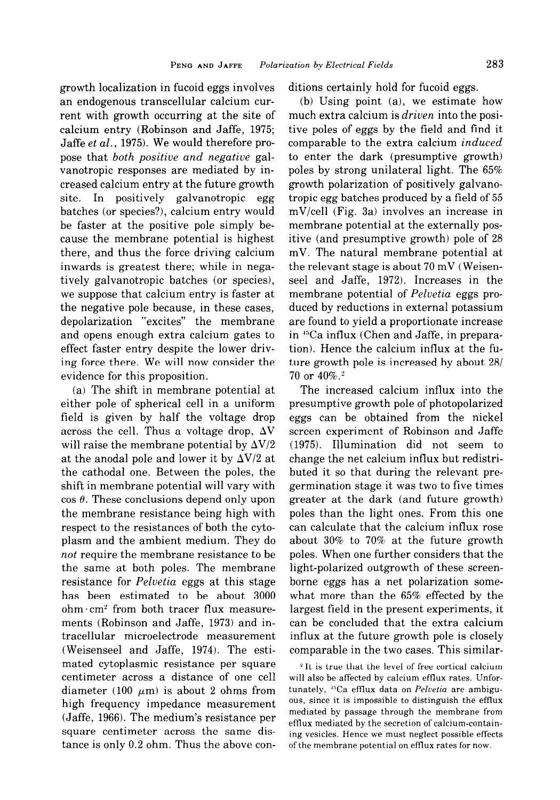growth localization in fucoid eggs involves an endogenous transcellular calcium current with growth occurring at the site of calcium entry (Robinson and Jaffe, 1975; Jaffe et al., 1975). We would therefore propose that both positive and negative galvanotropic responses are mediated by increased calcium entry at the future growth site. In positively galvanotropic egg batches (or species?), calcium entry would be faster at the positive pole simply because the membrane potential is highest there, and thus the force driving calcium inwards is greatest there; while in negatively galvanotropic batches (or species), we suppose that calcium entry is faster at the negative pole because, in these cases, depolarization "excites" the membrane and opens enough extra calcium gates to effect faster entry despite the lower driving force there. We will now consider the evidence for this proposition.

(a) The shift in membrane potential at either pole of spherical cell in a uniform field is given by half the voltage drop across the cell. Thus a voltage drop,  $\Delta V$ will raise the membrane potential by  $\Delta V/2$ at the anodal pole and lower it by  $\Delta V/2$  at the cathodal one. Between the poles, the shift in membrane potential will vary with  $\cos \theta$ . These conclusions depend only upon the membrane resistance being high with respect to the resistances of both the cytoplasm and the ambient medium. They do not require the membrane resistance to be the same at both poles. The membrane resistance for Pelvetia eggs at this stage has been estimated to be about 3000  $ohm·cm<sup>2</sup>$  from both tracer flux measurements (Robinson and Jaffe, 1973) and intracellular microelectrode measurement (Weisenseel and Jaffe, 1974). The estimated cytoplasmic resistance per square centimeter across a distance of one cell diameter (100  $\mu$ m) is about 2 ohms from high frequency impedance measurement (Jaffe, 1966). The medium's resistance per square centimeter across the same distance is only 0.2 ohm. Thus the above conditions certainly hold for fucoid eggs.

(b) Using point (a), we estimate how much extra calcium is *driven* into the positive poles of eggs by the field and find it comparable to the extra calcium induced to enter the dark (presumptive growth) poles by strong unilateral light. The 65% growth polarization of positively galvanotropic egg batches produced by a field of 55 mV/cell (Fig. 3a) involves an increase in membrane potential at the externally positive (and presumptive growth) pole of 28 mV. The natural membrane potential at the relevant stage is about 70 mV (Weisensee1 and Jaffe, 1972). Increases in the membrane potential of *Pelvetia* eggs produced by reductions in external potassium are found to yield a proportionate increase in <sup>45</sup>Ca influx (Chen and Jaffe, in preparation). Hence the calcium influx at the future growth pole is increased by about  $28/1$  $70$  or  $40\%$ .<sup>2</sup>

The increased calcium influx into the presumptive growth pole of photopolarized eggs can be obtained from the nickel screen experiment of Robinson and Jaffe (1975). Illumination did not seem to change the net calcium influx but redistributed it so that during the relevant pregermination stage it was two to five times greater at the dark (and future growth) poles than the light ones. From this one can calculate that the calcium influx rose about 30% to 70% at the future growth poles. When one further considers that the light-polarized outgrowth of these screenborne eggs has a net polarization somewhat more than the 65% effected by the largest field in the present experiments, it can be concluded that the extra calcium influx at the future growth pole is closely comparable in the two cases. This similar-

 $\degree$  It is true that the level of free cortical calcium will also be affected by calcium efflux rates. Unfortunately, <sup>45</sup>Ca efflux data on Pelvetia are ambiguous, since it is impossible to distinguish the efflux mediated by passage through the membrane from efflux mediated by the secretion of calcium-containing vesicles. Hence we must neglect possible effects of the membrane potential on efflux rates for now.